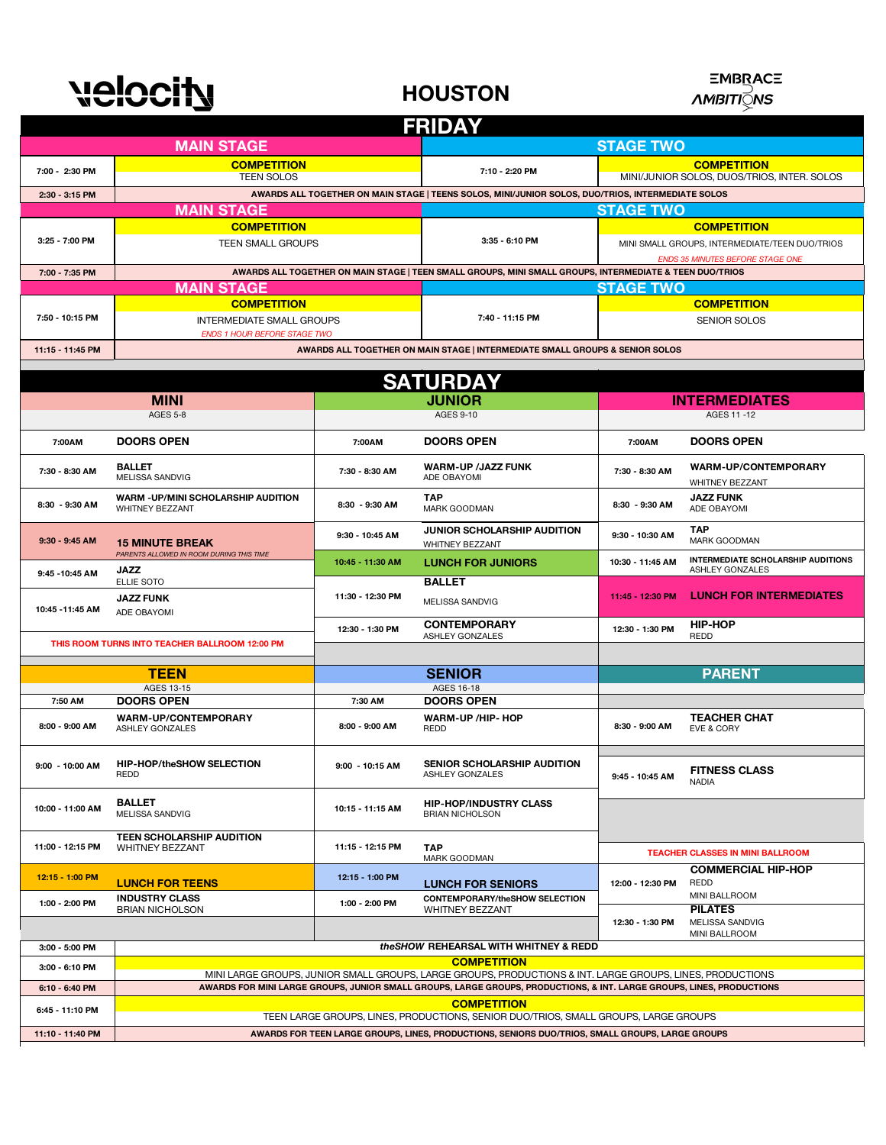

**HOUSTON**



| <b>FRIDAY</b>      |                                                                                                                       |                                                                              |                                                                                                         |                                                                   |                                                              |  |  |  |
|--------------------|-----------------------------------------------------------------------------------------------------------------------|------------------------------------------------------------------------------|---------------------------------------------------------------------------------------------------------|-------------------------------------------------------------------|--------------------------------------------------------------|--|--|--|
|                    | <b>MAIN STAGE</b>                                                                                                     |                                                                              | <b>STAGE TWO</b>                                                                                        |                                                                   |                                                              |  |  |  |
| 7:00 - 2:30 PM     | <b>COMPETITION</b><br><b>TEEN SOLOS</b>                                                                               | 7:10 - 2:20 PM                                                               |                                                                                                         | <b>COMPETITION</b><br>MINI/JUNIOR SOLOS, DUOS/TRIOS, INTER. SOLOS |                                                              |  |  |  |
| 2:30 - 3:15 PM     |                                                                                                                       |                                                                              | AWARDS ALL TOGETHER ON MAIN STAGE   TEENS SOLOS, MINI/JUNIOR SOLOS, DUO/TRIOS, INTERMEDIATE SOLOS       |                                                                   |                                                              |  |  |  |
|                    | <b>MAIN STAGE</b><br><b>STAGE TWO</b>                                                                                 |                                                                              |                                                                                                         |                                                                   |                                                              |  |  |  |
| <b>COMPETITION</b> |                                                                                                                       |                                                                              |                                                                                                         | <b>COMPETITION</b>                                                |                                                              |  |  |  |
| 3:25 - 7:00 PM     | <b>TEEN SMALL GROUPS</b>                                                                                              |                                                                              | 3:35 - 6:10 PM                                                                                          | MINI SMALL GROUPS, INTERMEDIATE/TEEN DUO/TRIOS                    |                                                              |  |  |  |
|                    |                                                                                                                       |                                                                              |                                                                                                         | ENDS 35 MINUTES BEFORE STAGE ONE                                  |                                                              |  |  |  |
| 7:00 - 7:35 PM     |                                                                                                                       |                                                                              | AWARDS ALL TOGETHER ON MAIN STAGE   TEEN SMALL GROUPS, MINI SMALL GROUPS, INTERMEDIATE & TEEN DUO/TRIOS |                                                                   |                                                              |  |  |  |
|                    | <b>MAIN STAGE</b>                                                                                                     |                                                                              |                                                                                                         | <b>STAGE TWO</b>                                                  |                                                              |  |  |  |
|                    | <b>COMPETITION</b>                                                                                                    |                                                                              | 7:40 - 11:15 PM                                                                                         |                                                                   | <b>COMPETITION</b>                                           |  |  |  |
| 7:50 - 10:15 PM    | <b>INTERMEDIATE SMALL GROUPS</b><br><b>ENDS 1 HOUR BEFORE STAGE TWO</b>                                               |                                                                              |                                                                                                         | <b>SENIOR SOLOS</b>                                               |                                                              |  |  |  |
| 11:15 - 11:45 PM   |                                                                                                                       | AWARDS ALL TOGETHER ON MAIN STAGE   INTERMEDIATE SMALL GROUPS & SENIOR SOLOS |                                                                                                         |                                                                   |                                                              |  |  |  |
|                    |                                                                                                                       |                                                                              |                                                                                                         |                                                                   |                                                              |  |  |  |
|                    |                                                                                                                       |                                                                              | <b>SATURDAY</b>                                                                                         |                                                                   |                                                              |  |  |  |
|                    | <b>MINI</b>                                                                                                           | <b>JUNIOR</b>                                                                |                                                                                                         | <b>INTERMEDIATES</b>                                              |                                                              |  |  |  |
|                    | <b>AGES 5-8</b>                                                                                                       |                                                                              | <b>AGES 9-10</b>                                                                                        |                                                                   | AGES 11-12                                                   |  |  |  |
|                    |                                                                                                                       |                                                                              |                                                                                                         |                                                                   |                                                              |  |  |  |
| 7:00AM             | <b>DOORS OPEN</b>                                                                                                     | 7:00AM                                                                       | <b>DOORS OPEN</b>                                                                                       | 7:00AM                                                            | <b>DOORS OPEN</b>                                            |  |  |  |
| 7:30 - 8:30 AM     | <b>BALLET</b><br>MELISSA SANDVIG                                                                                      | 7:30 - 8:30 AM                                                               | <b>WARM-UP /JAZZ FUNK</b><br>ADE OBAYOMI                                                                | 7:30 - 8:30 AM                                                    | <b>WARM-UP/CONTEMPORARY</b><br>WHITNEY BEZZANT               |  |  |  |
| 8:30 - 9:30 AM     | WARM -UP/MINI SCHOLARSHIP AUDITION<br>WHITNEY BEZZANT                                                                 | 8:30 - 9:30 AM                                                               | <b>TAP</b><br>MARK GOODMAN                                                                              | 8:30 - 9:30 AM                                                    | <b>JAZZ FUNK</b><br>ADE OBAYOMI                              |  |  |  |
| $9:30 - 9:45$ AM   | <b>15 MINUTE BREAK</b>                                                                                                | 9:30 - 10:45 AM                                                              | JUNIOR SCHOLARSHIP AUDITION<br>WHITNEY BEZZANT                                                          | 9:30 - 10:30 AM                                                   | <b>TAP</b><br><b>MARK GOODMAN</b>                            |  |  |  |
| 9:45 - 10:45 AM    | PARENTS ALLOWED IN ROOM DURING THIS TIME<br><b>JAZZ</b>                                                               | 10:45 - 11:30 AM                                                             | <b>LUNCH FOR JUNIORS</b>                                                                                | 10:30 - 11:45 AM                                                  | <b>INTERMEDIATE SCHOLARSHIP AUDITIONS</b><br>ASHLEY GONZALES |  |  |  |
| 10:45 - 11:45 AM   | ELLIE SOTO<br><b>JAZZ FUNK</b><br>ADE OBAYOMI                                                                         | 11:30 - 12:30 PM                                                             | <b>BALLET</b><br>MELISSA SANDVIG                                                                        | 11:45 - 12:30 PM                                                  | <b>LUNCH FOR INTERMEDIATES</b>                               |  |  |  |
|                    | THIS ROOM TURNS INTO TEACHER BALLROOM 12:00 PM                                                                        | 12:30 - 1:30 PM                                                              | <b>CONTEMPORARY</b><br>ASHLEY GONZALES                                                                  | 12:30 - 1:30 PM                                                   | <b>HIP-HOP</b><br>REDD                                       |  |  |  |
|                    |                                                                                                                       |                                                                              |                                                                                                         |                                                                   |                                                              |  |  |  |
|                    | <b>TEEN</b>                                                                                                           |                                                                              | <b>SENIOR</b>                                                                                           |                                                                   | <b>PARENT</b>                                                |  |  |  |
|                    | AGES 13-15                                                                                                            |                                                                              | <b>AGES 16-18</b>                                                                                       |                                                                   |                                                              |  |  |  |
| 7:50 AM            | <b>DOORS OPEN</b>                                                                                                     | 7:30 AM                                                                      | <b>DOORS OPEN</b>                                                                                       |                                                                   |                                                              |  |  |  |
| 8:00 - 9:00 AM     | WARM-UP/CONTEMPORARY<br><b>ASHLEY GONZALES</b>                                                                        | 8:00 - 9:00 AM                                                               | WARM-UP /HIP-HOP<br>REDD                                                                                | 8:30 - 9:00 AM                                                    | <b>TEACHER CHAT</b><br>EVE & CORY                            |  |  |  |
| 9:00 - 10:00 AM    | HIP-HOP/theSHOW SELECTION<br>REDD                                                                                     | 9:00 - 10:15 AM                                                              | <b>SENIOR SCHOLARSHIP AUDITION</b><br>ASHLEY GONZALES                                                   | 9:45 - 10:45 AM                                                   | <b>FITNESS CLASS</b><br><b>NADIA</b>                         |  |  |  |
| 10:00 - 11:00 AM   | <b>BALLET</b><br>MELISSA SANDVIG                                                                                      | 10:15 - 11:15 AM                                                             | <b>HIP-HOP/INDUSTRY CLASS</b><br><b>BRIAN NICHOLSON</b>                                                 |                                                                   |                                                              |  |  |  |
| 11:00 - 12:15 PM   | <b>TEEN SCHOLARSHIP AUDITION</b><br><b>WHITNEY BEZZANT</b>                                                            | 11:15 - 12:15 PM                                                             | <b>TAP</b><br>MARK GOODMAN                                                                              |                                                                   | <b>TEACHER CLASSES IN MINI BALLROOM</b>                      |  |  |  |
| 12:15 - 1:00 PM    |                                                                                                                       | 12:15 - 1:00 PM                                                              |                                                                                                         |                                                                   | <b>COMMERCIAL HIP-HOP</b>                                    |  |  |  |
|                    | <b>LUNCH FOR TEENS</b><br><b>INDUSTRY CLASS</b>                                                                       |                                                                              | <b>LUNCH FOR SENIORS</b><br><b>CONTEMPORARY/theSHOW SELECTION</b>                                       | 12:00 - 12:30 PM                                                  | REDD<br>MINI BALLROOM                                        |  |  |  |
| 1:00 - 2:00 PM     | <b>BRIAN NICHOLSON</b>                                                                                                | 1:00 - 2:00 PM                                                               | <b>WHITNEY BEZZANT</b>                                                                                  | 12:30 - 1:30 PM                                                   | <b>PILATES</b><br>MELISSA SANDVIG                            |  |  |  |
| 3:00 - 5:00 PM     | <b>MINI BALLROOM</b><br>the SHOW REHEARSAL WITH WHITNEY & REDD                                                        |                                                                              |                                                                                                         |                                                                   |                                                              |  |  |  |
|                    | <b>COMPETITION</b>                                                                                                    |                                                                              |                                                                                                         |                                                                   |                                                              |  |  |  |
| 3:00 - 6:10 PM     | MINI LARGE GROUPS, JUNIOR SMALL GROUPS, LARGE GROUPS, PRODUCTIONS & INT. LARGE GROUPS, LINES, PRODUCTIONS             |                                                                              |                                                                                                         |                                                                   |                                                              |  |  |  |
| 6:10 - 6:40 PM     | AWARDS FOR MINI LARGE GROUPS, JUNIOR SMALL GROUPS, LARGE GROUPS, PRODUCTIONS, & INT. LARGE GROUPS, LINES, PRODUCTIONS |                                                                              |                                                                                                         |                                                                   |                                                              |  |  |  |
| 6:45 - 11:10 PM    | <b>COMPETITION</b><br>TEEN LARGE GROUPS, LINES, PRODUCTIONS, SENIOR DUO/TRIOS, SMALL GROUPS, LARGE GROUPS             |                                                                              |                                                                                                         |                                                                   |                                                              |  |  |  |
|                    | AWARDS FOR TEEN LARGE GROUPS, LINES, PRODUCTIONS, SENIORS DUO/TRIOS, SMALL GROUPS, LARGE GROUPS                       |                                                                              |                                                                                                         |                                                                   |                                                              |  |  |  |
| 11:10 - 11:40 PM   |                                                                                                                       |                                                                              |                                                                                                         |                                                                   |                                                              |  |  |  |